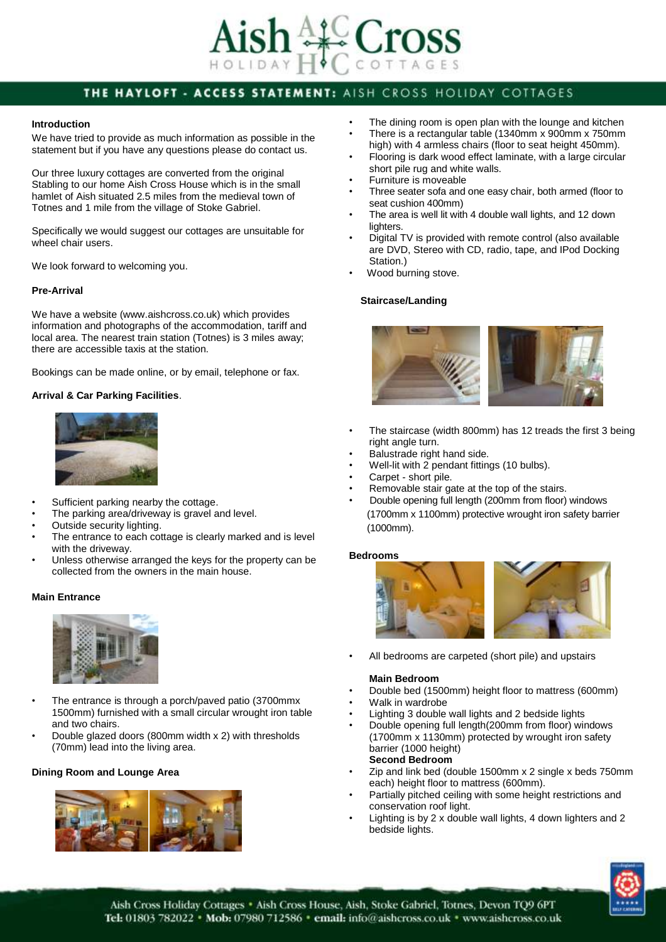

# THE HAYLOFT - ACCESS STATEMENT: AISH CROSS HOLIDAY COTTAGES

#### **Introduction**

We have tried to provide as much information as possible in the statement but if you have any questions please do contact us.

Our three luxury cottages are converted from the original Stabling to our home Aish Cross House which is in the small hamlet of Aish situated 2.5 miles from the medieval town of Totnes and 1 mile from the village of Stoke Gabriel.

Specifically we would suggest our cottages are unsuitable for wheel chair users.

We look forward to welcoming you.

# **Pre-Arrival**

We have a website (www.aishcross.co.uk) which provides information and photographs of the accommodation, tariff and local area. The nearest train station (Totnes) is 3 miles away; there are accessible taxis at the station.

Bookings can be made online, or by email, telephone or fax.

### **Arrival & Car Parking Facilities**.



- Sufficient parking nearby the cottage.
- The parking area/driveway is gravel and level.
- Outside security lighting.
- The entrance to each cottage is clearly marked and is level with the driveway.
- Unless otherwise arranged the keys for the property can be collected from the owners in the main house.

#### **Main Entrance**



- The entrance is through a porch/paved patio (3700mmx) 1500mm) furnished with a small circular wrought iron table and two chairs.
- Double glazed doors (800mm width x 2) with thresholds (70mm) lead into the living area.

#### **Dining Room and Lounge Area**



- The dining room is open plan with the lounge and kitchen
- There is a rectangular table (1340mm x 900mm x 750mm high) with 4 armless chairs (floor to seat height 450mm).
- Flooring is dark wood effect laminate, with a large circular short pile rug and white walls.
- Furniture is moveable
- Three seater sofa and one easy chair, both armed (floor to seat cushion 400mm)
- The area is well lit with 4 double wall lights, and 12 down lighters.
- Digital TV is provided with remote control (also available are DVD, Stereo with CD, radio, tape, and IPod Docking Station.)
- Wood burning stove.

### **Staircase/Landing**



- The staircase (width 800mm) has 12 treads the first 3 being right angle turn.
- Balustrade right hand side.
- Well-lit with 2 pendant fittings (10 bulbs).
- Carpet short pile.
- Removable stair gate at the top of the stairs.
- Double opening full length (200mm from floor) windows (1700mm x 1100mm) protective wrought iron safety barrier (1000mm).

#### **Bedrooms**



• All bedrooms are carpeted (short pile) and upstairs

#### **Main Bedroom**

- Double bed (1500mm) height floor to mattress (600mm)
	- Walk in wardrobe
- Lighting 3 double wall lights and 2 bedside lights
- Double opening full length(200mm from floor) windows (1700mm x 1130mm) protected by wrought iron safety barrier (1000 height) **Second Bedroom**
- Zip and link bed (double 1500mm x 2 single x beds 750mm each) height floor to mattress (600mm).
- Partially pitched ceiling with some height restrictions and conservation roof light.
- Lighting is by 2 x double wall lights, 4 down lighters and 2 bedside lights.